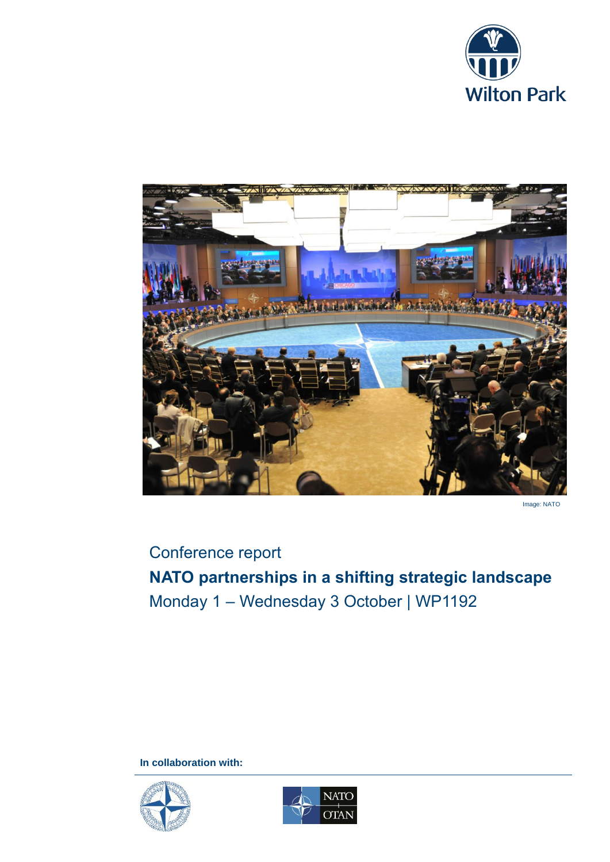



Image: NATO

# Conference report **NATO partnerships in a shifting strategic landscape** Monday 1 – Wednesday 3 October | WP1192

**In collaboration with:**



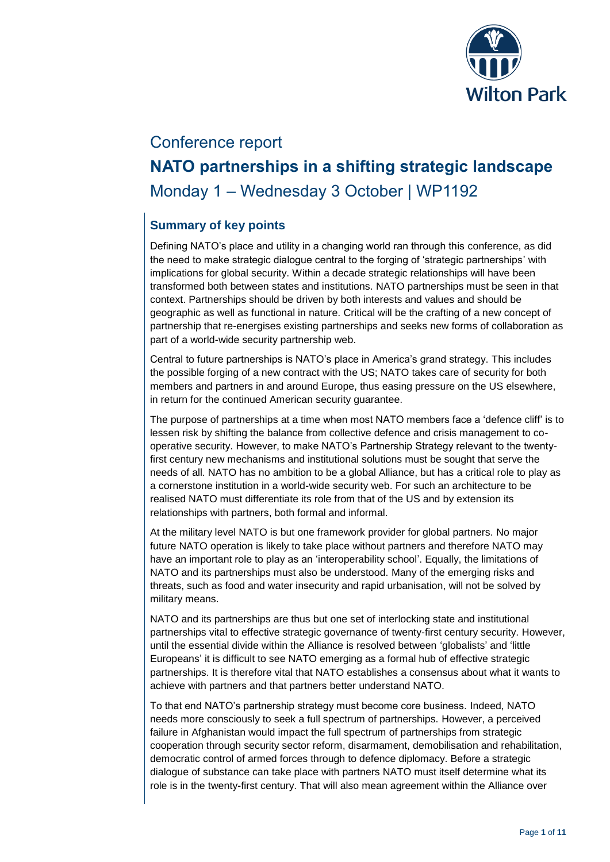

# Conference report **NATO partnerships in a shifting strategic landscape** Monday 1 – Wednesday 3 October | WP1192

# **Summary of key points**

Defining NATO's place and utility in a changing world ran through this conference, as did the need to make strategic dialogue central to the forging of 'strategic partnerships' with implications for global security. Within a decade strategic relationships will have been transformed both between states and institutions. NATO partnerships must be seen in that context. Partnerships should be driven by both interests and values and should be geographic as well as functional in nature. Critical will be the crafting of a new concept of partnership that re-energises existing partnerships and seeks new forms of collaboration as part of a world-wide security partnership web.

Central to future partnerships is NATO's place in America's grand strategy. This includes the possible forging of a new contract with the US; NATO takes care of security for both members and partners in and around Europe, thus easing pressure on the US elsewhere, in return for the continued American security guarantee.

The purpose of partnerships at a time when most NATO members face a 'defence cliff' is to lessen risk by shifting the balance from collective defence and crisis management to cooperative security. However, to make NATO's Partnership Strategy relevant to the twentyfirst century new mechanisms and institutional solutions must be sought that serve the needs of all. NATO has no ambition to be a global Alliance, but has a critical role to play as a cornerstone institution in a world-wide security web. For such an architecture to be realised NATO must differentiate its role from that of the US and by extension its relationships with partners, both formal and informal.

At the military level NATO is but one framework provider for global partners. No major future NATO operation is likely to take place without partners and therefore NATO may have an important role to play as an 'interoperability school'. Equally, the limitations of NATO and its partnerships must also be understood. Many of the emerging risks and threats, such as food and water insecurity and rapid urbanisation, will not be solved by military means.

NATO and its partnerships are thus but one set of interlocking state and institutional partnerships vital to effective strategic governance of twenty-first century security. However, until the essential divide within the Alliance is resolved between 'globalists' and 'little Europeans' it is difficult to see NATO emerging as a formal hub of effective strategic partnerships. It is therefore vital that NATO establishes a consensus about what it wants to achieve with partners and that partners better understand NATO.

To that end NATO's partnership strategy must become core business. Indeed, NATO needs more consciously to seek a full spectrum of partnerships. However, a perceived failure in Afghanistan would impact the full spectrum of partnerships from strategic cooperation through security sector reform, disarmament, demobilisation and rehabilitation, democratic control of armed forces through to defence diplomacy. Before a strategic dialogue of substance can take place with partners NATO must itself determine what its role is in the twenty-first century. That will also mean agreement within the Alliance over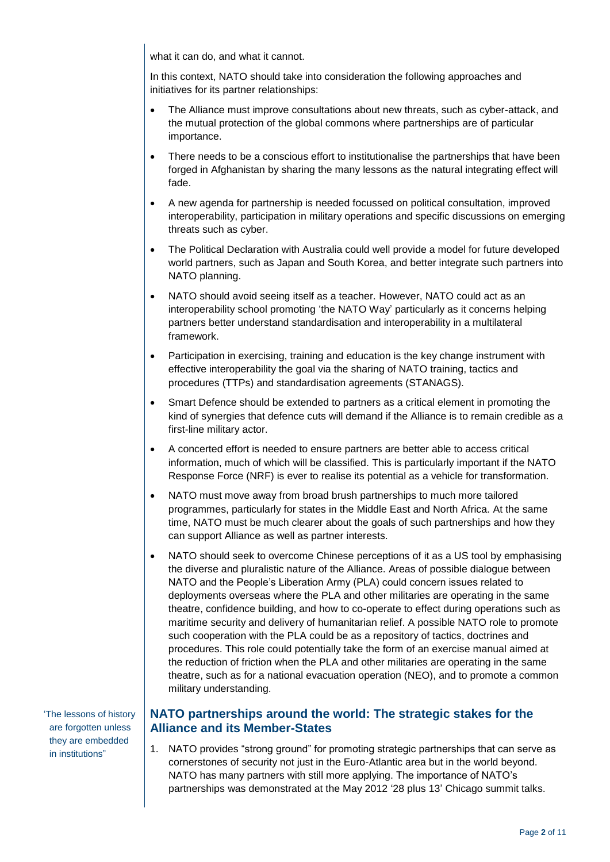what it can do, and what it cannot.

In this context, NATO should take into consideration the following approaches and initiatives for its partner relationships:

- The Alliance must improve consultations about new threats, such as cyber-attack, and the mutual protection of the global commons where partnerships are of particular importance.
- There needs to be a conscious effort to institutionalise the partnerships that have been forged in Afghanistan by sharing the many lessons as the natural integrating effect will fade.
- A new agenda for partnership is needed focussed on political consultation, improved interoperability, participation in military operations and specific discussions on emerging threats such as cyber.
- The Political Declaration with Australia could well provide a model for future developed world partners, such as Japan and South Korea, and better integrate such partners into NATO planning.
- NATO should avoid seeing itself as a teacher. However, NATO could act as an interoperability school promoting 'the NATO Way' particularly as it concerns helping partners better understand standardisation and interoperability in a multilateral framework.
- Participation in exercising, training and education is the key change instrument with effective interoperability the goal via the sharing of NATO training, tactics and procedures (TTPs) and standardisation agreements (STANAGS).
- Smart Defence should be extended to partners as a critical element in promoting the kind of synergies that defence cuts will demand if the Alliance is to remain credible as a first-line military actor.
- A concerted effort is needed to ensure partners are better able to access critical information, much of which will be classified. This is particularly important if the NATO Response Force (NRF) is ever to realise its potential as a vehicle for transformation.
- NATO must move away from broad brush partnerships to much more tailored programmes, particularly for states in the Middle East and North Africa. At the same time, NATO must be much clearer about the goals of such partnerships and how they can support Alliance as well as partner interests.
- NATO should seek to overcome Chinese perceptions of it as a US tool by emphasising the diverse and pluralistic nature of the Alliance. Areas of possible dialogue between NATO and the People's Liberation Army (PLA) could concern issues related to deployments overseas where the PLA and other militaries are operating in the same theatre, confidence building, and how to co-operate to effect during operations such as maritime security and delivery of humanitarian relief. A possible NATO role to promote such cooperation with the PLA could be as a repository of tactics, doctrines and procedures. This role could potentially take the form of an exercise manual aimed at the reduction of friction when the PLA and other militaries are operating in the same theatre, such as for a national evacuation operation (NEO), and to promote a common military understanding.

### **NATO partnerships around the world: The strategic stakes for the Alliance and its Member-States**

1. NATO provides "strong ground" for promoting strategic partnerships that can serve as cornerstones of security not just in the Euro-Atlantic area but in the world beyond. NATO has many partners with still more applying. The importance of NATO's partnerships was demonstrated at the May 2012 '28 plus 13' Chicago summit talks.

'The lessons of history are forgotten unless they are embedded in institutions"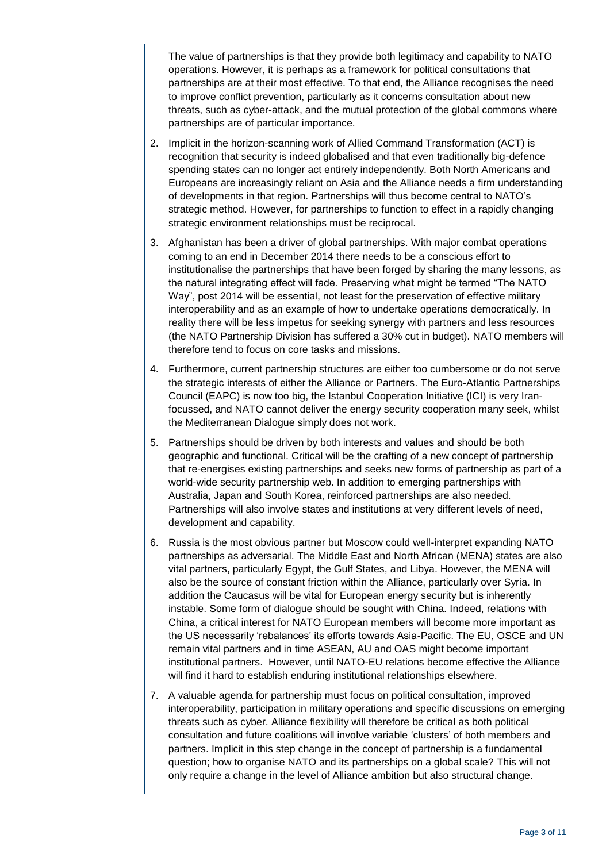The value of partnerships is that they provide both legitimacy and capability to NATO operations. However, it is perhaps as a framework for political consultations that partnerships are at their most effective. To that end, the Alliance recognises the need to improve conflict prevention, particularly as it concerns consultation about new threats, such as cyber-attack, and the mutual protection of the global commons where partnerships are of particular importance.

- 2. Implicit in the horizon-scanning work of Allied Command Transformation (ACT) is recognition that security is indeed globalised and that even traditionally big-defence spending states can no longer act entirely independently. Both North Americans and Europeans are increasingly reliant on Asia and the Alliance needs a firm understanding of developments in that region. Partnerships will thus become central to NATO's strategic method. However, for partnerships to function to effect in a rapidly changing strategic environment relationships must be reciprocal.
- 3. Afghanistan has been a driver of global partnerships. With major combat operations coming to an end in December 2014 there needs to be a conscious effort to institutionalise the partnerships that have been forged by sharing the many lessons, as the natural integrating effect will fade. Preserving what might be termed "The NATO Way", post 2014 will be essential, not least for the preservation of effective military interoperability and as an example of how to undertake operations democratically. In reality there will be less impetus for seeking synergy with partners and less resources (the NATO Partnership Division has suffered a 30% cut in budget). NATO members will therefore tend to focus on core tasks and missions.
- 4. Furthermore, current partnership structures are either too cumbersome or do not serve the strategic interests of either the Alliance or Partners. The Euro-Atlantic Partnerships Council (EAPC) is now too big, the Istanbul Cooperation Initiative (ICI) is very Iranfocussed, and NATO cannot deliver the energy security cooperation many seek, whilst the Mediterranean Dialogue simply does not work.
- 5. Partnerships should be driven by both interests and values and should be both geographic and functional. Critical will be the crafting of a new concept of partnership that re-energises existing partnerships and seeks new forms of partnership as part of a world-wide security partnership web. In addition to emerging partnerships with Australia, Japan and South Korea, reinforced partnerships are also needed. Partnerships will also involve states and institutions at very different levels of need, development and capability.
- 6. Russia is the most obvious partner but Moscow could well-interpret expanding NATO partnerships as adversarial. The Middle East and North African (MENA) states are also vital partners, particularly Egypt, the Gulf States, and Libya. However, the MENA will also be the source of constant friction within the Alliance, particularly over Syria. In addition the Caucasus will be vital for European energy security but is inherently instable. Some form of dialogue should be sought with China. Indeed, relations with China, a critical interest for NATO European members will become more important as the US necessarily 'rebalances' its efforts towards Asia-Pacific. The EU, OSCE and UN remain vital partners and in time ASEAN, AU and OAS might become important institutional partners. However, until NATO-EU relations become effective the Alliance will find it hard to establish enduring institutional relationships elsewhere.
- 7. A valuable agenda for partnership must focus on political consultation, improved interoperability, participation in military operations and specific discussions on emerging threats such as cyber. Alliance flexibility will therefore be critical as both political consultation and future coalitions will involve variable 'clusters' of both members and partners. Implicit in this step change in the concept of partnership is a fundamental question; how to organise NATO and its partnerships on a global scale? This will not only require a change in the level of Alliance ambition but also structural change.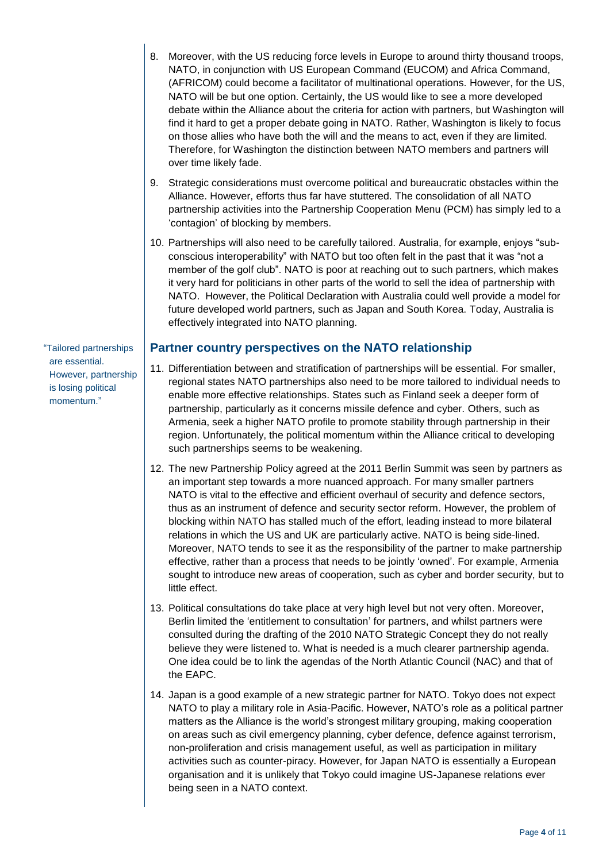- 8. Moreover, with the US reducing force levels in Europe to around thirty thousand troops, NATO, in conjunction with US European Command (EUCOM) and Africa Command, (AFRICOM) could become a facilitator of multinational operations. However, for the US, NATO will be but one option. Certainly, the US would like to see a more developed debate within the Alliance about the criteria for action with partners, but Washington will find it hard to get a proper debate going in NATO. Rather, Washington is likely to focus on those allies who have both the will and the means to act, even if they are limited. Therefore, for Washington the distinction between NATO members and partners will over time likely fade.
- 9. Strategic considerations must overcome political and bureaucratic obstacles within the Alliance. However, efforts thus far have stuttered. The consolidation of all NATO partnership activities into the Partnership Cooperation Menu (PCM) has simply led to a 'contagion' of blocking by members.
- 10. Partnerships will also need to be carefully tailored. Australia, for example, enjoys "subconscious interoperability" with NATO but too often felt in the past that it was "not a member of the golf club". NATO is poor at reaching out to such partners, which makes it very hard for politicians in other parts of the world to sell the idea of partnership with NATO. However, the Political Declaration with Australia could well provide a model for future developed world partners, such as Japan and South Korea. Today, Australia is effectively integrated into NATO planning.

#### **Partner country perspectives on the NATO relationship**

- 11. Differentiation between and stratification of partnerships will be essential. For smaller, regional states NATO partnerships also need to be more tailored to individual needs to enable more effective relationships. States such as Finland seek a deeper form of partnership, particularly as it concerns missile defence and cyber. Others, such as Armenia, seek a higher NATO profile to promote stability through partnership in their region. Unfortunately, the political momentum within the Alliance critical to developing such partnerships seems to be weakening.
- 12. The new Partnership Policy agreed at the 2011 Berlin Summit was seen by partners as an important step towards a more nuanced approach. For many smaller partners NATO is vital to the effective and efficient overhaul of security and defence sectors, thus as an instrument of defence and security sector reform. However, the problem of blocking within NATO has stalled much of the effort, leading instead to more bilateral relations in which the US and UK are particularly active. NATO is being side-lined. Moreover, NATO tends to see it as the responsibility of the partner to make partnership effective, rather than a process that needs to be jointly 'owned'. For example, Armenia sought to introduce new areas of cooperation, such as cyber and border security, but to little effect.
- 13. Political consultations do take place at very high level but not very often. Moreover, Berlin limited the 'entitlement to consultation' for partners, and whilst partners were consulted during the drafting of the 2010 NATO Strategic Concept they do not really believe they were listened to. What is needed is a much clearer partnership agenda. One idea could be to link the agendas of the North Atlantic Council (NAC) and that of the EAPC.
- 14. Japan is a good example of a new strategic partner for NATO. Tokyo does not expect NATO to play a military role in Asia-Pacific. However, NATO's role as a political partner matters as the Alliance is the world's strongest military grouping, making cooperation on areas such as civil emergency planning, cyber defence, defence against terrorism, non-proliferation and crisis management useful, as well as participation in military activities such as counter-piracy. However, for Japan NATO is essentially a European organisation and it is unlikely that Tokyo could imagine US-Japanese relations ever being seen in a NATO context.

"Tailored partnerships are essential. However, partnership is losing political momentum."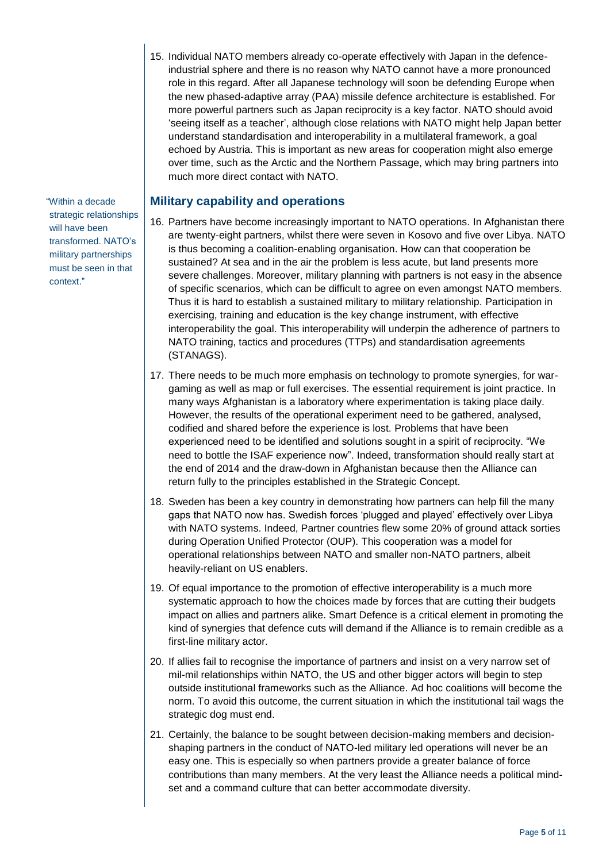15. Individual NATO members already co-operate effectively with Japan in the defenceindustrial sphere and there is no reason why NATO cannot have a more pronounced role in this regard. After all Japanese technology will soon be defending Europe when the new phased-adaptive array (PAA) missile defence architecture is established. For more powerful partners such as Japan reciprocity is a key factor. NATO should avoid 'seeing itself as a teacher', although close relations with NATO might help Japan better understand standardisation and interoperability in a multilateral framework, a goal echoed by Austria. This is important as new areas for cooperation might also emerge over time, such as the Arctic and the Northern Passage, which may bring partners into much more direct contact with NATO.

**Military capability and operations** 

- 16. Partners have become increasingly important to NATO operations. In Afghanistan there are twenty-eight partners, whilst there were seven in Kosovo and five over Libya. NATO is thus becoming a coalition-enabling organisation. How can that cooperation be sustained? At sea and in the air the problem is less acute, but land presents more severe challenges. Moreover, military planning with partners is not easy in the absence of specific scenarios, which can be difficult to agree on even amongst NATO members. Thus it is hard to establish a sustained military to military relationship. Participation in exercising, training and education is the key change instrument, with effective interoperability the goal. This interoperability will underpin the adherence of partners to NATO training, tactics and procedures (TTPs) and standardisation agreements (STANAGS).
- 17. There needs to be much more emphasis on technology to promote synergies, for wargaming as well as map or full exercises. The essential requirement is joint practice. In many ways Afghanistan is a laboratory where experimentation is taking place daily. However, the results of the operational experiment need to be gathered, analysed, codified and shared before the experience is lost. Problems that have been experienced need to be identified and solutions sought in a spirit of reciprocity. "We need to bottle the ISAF experience now". Indeed, transformation should really start at the end of 2014 and the draw-down in Afghanistan because then the Alliance can return fully to the principles established in the Strategic Concept.
- 18. Sweden has been a key country in demonstrating how partners can help fill the many gaps that NATO now has. Swedish forces 'plugged and played' effectively over Libya with NATO systems. Indeed, Partner countries flew some 20% of ground attack sorties during Operation Unified Protector (OUP). This cooperation was a model for operational relationships between NATO and smaller non-NATO partners, albeit heavily-reliant on US enablers.
- 19. Of equal importance to the promotion of effective interoperability is a much more systematic approach to how the choices made by forces that are cutting their budgets impact on allies and partners alike. Smart Defence is a critical element in promoting the kind of synergies that defence cuts will demand if the Alliance is to remain credible as a first-line military actor.
- 20. If allies fail to recognise the importance of partners and insist on a very narrow set of mil-mil relationships within NATO, the US and other bigger actors will begin to step outside institutional frameworks such as the Alliance. Ad hoc coalitions will become the norm. To avoid this outcome, the current situation in which the institutional tail wags the strategic dog must end.
- 21. Certainly, the balance to be sought between decision-making members and decisionshaping partners in the conduct of NATO-led military led operations will never be an easy one. This is especially so when partners provide a greater balance of force contributions than many members. At the very least the Alliance needs a political mindset and a command culture that can better accommodate diversity.

"Within a decade strategic relationships will have been transformed. NATO's military partnerships must be seen in that context."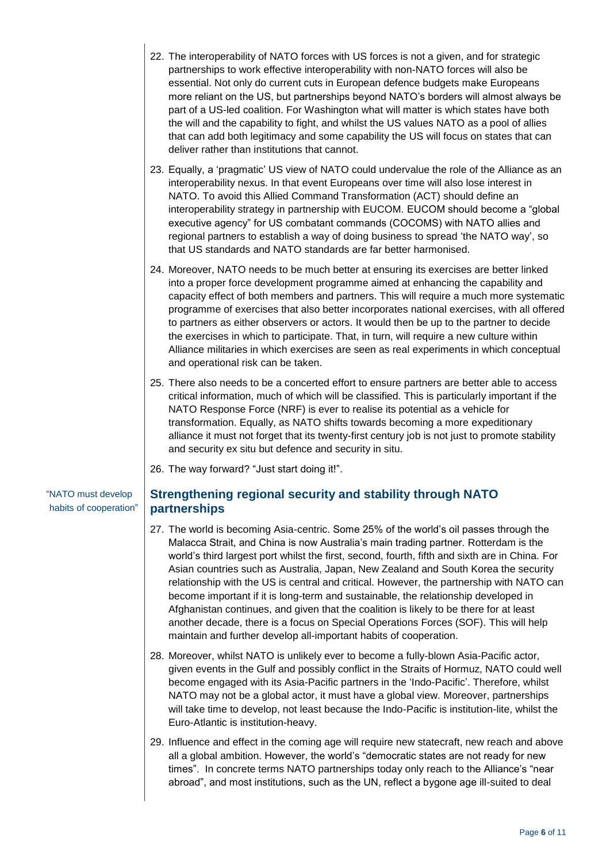- 22. The interoperability of NATO forces with US forces is not a given, and for strategic partnerships to work effective interoperability with non-NATO forces will also be essential. Not only do current cuts in European defence budgets make Europeans more reliant on the US, but partnerships beyond NATO's borders will almost always be part of a US-led coalition. For Washington what will matter is which states have both the will and the capability to fight, and whilst the US values NATO as a pool of allies that can add both legitimacy and some capability the US will focus on states that can deliver rather than institutions that cannot.
- 23. Equally, a 'pragmatic' US view of NATO could undervalue the role of the Alliance as an interoperability nexus. In that event Europeans over time will also lose interest in NATO. To avoid this Allied Command Transformation (ACT) should define an interoperability strategy in partnership with EUCOM. EUCOM should become a "global executive agency" for US combatant commands (COCOMS) with NATO allies and regional partners to establish a way of doing business to spread 'the NATO way', so that US standards and NATO standards are far better harmonised.
- 24. Moreover, NATO needs to be much better at ensuring its exercises are better linked into a proper force development programme aimed at enhancing the capability and capacity effect of both members and partners. This will require a much more systematic programme of exercises that also better incorporates national exercises, with all offered to partners as either observers or actors. It would then be up to the partner to decide the exercises in which to participate. That, in turn, will require a new culture within Alliance militaries in which exercises are seen as real experiments in which conceptual and operational risk can be taken.
- 25. There also needs to be a concerted effort to ensure partners are better able to access critical information, much of which will be classified. This is particularly important if the NATO Response Force (NRF) is ever to realise its potential as a vehicle for transformation. Equally, as NATO shifts towards becoming a more expeditionary alliance it must not forget that its twenty-first century job is not just to promote stability and security ex situ but defence and security in situ.
- 26. The way forward? "Just start doing it!".

"NATO must develop habits of cooperation"

## **Strengthening regional security and stability through NATO partnerships**

- 27. The world is becoming Asia-centric. Some 25% of the world's oil passes through the Malacca Strait, and China is now Australia's main trading partner. Rotterdam is the world's third largest port whilst the first, second, fourth, fifth and sixth are in China. For Asian countries such as Australia, Japan, New Zealand and South Korea the security relationship with the US is central and critical. However, the partnership with NATO can become important if it is long-term and sustainable, the relationship developed in Afghanistan continues, and given that the coalition is likely to be there for at least another decade, there is a focus on Special Operations Forces (SOF). This will help maintain and further develop all-important habits of cooperation.
- 28. Moreover, whilst NATO is unlikely ever to become a fully-blown Asia-Pacific actor, given events in the Gulf and possibly conflict in the Straits of Hormuz, NATO could well become engaged with its Asia-Pacific partners in the 'Indo-Pacific'. Therefore, whilst NATO may not be a global actor, it must have a global view. Moreover, partnerships will take time to develop, not least because the Indo-Pacific is institution-lite, whilst the Euro-Atlantic is institution-heavy.
- 29. Influence and effect in the coming age will require new statecraft, new reach and above all a global ambition. However, the world's "democratic states are not ready for new times". In concrete terms NATO partnerships today only reach to the Alliance's "near abroad", and most institutions, such as the UN, reflect a bygone age ill-suited to deal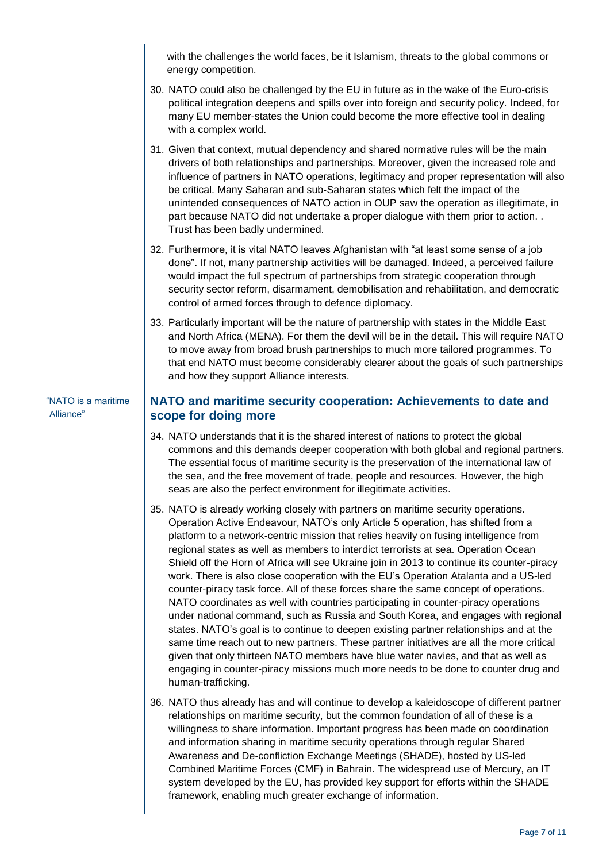with the challenges the world faces, be it Islamism, threats to the global commons or energy competition.

- 30. NATO could also be challenged by the EU in future as in the wake of the Euro-crisis political integration deepens and spills over into foreign and security policy. Indeed, for many EU member-states the Union could become the more effective tool in dealing with a complex world.
- 31. Given that context, mutual dependency and shared normative rules will be the main drivers of both relationships and partnerships. Moreover, given the increased role and influence of partners in NATO operations, legitimacy and proper representation will also be critical. Many Saharan and sub-Saharan states which felt the impact of the unintended consequences of NATO action in OUP saw the operation as illegitimate, in part because NATO did not undertake a proper dialogue with them prior to action. . Trust has been badly undermined.
- 32. Furthermore, it is vital NATO leaves Afghanistan with "at least some sense of a job done". If not, many partnership activities will be damaged. Indeed, a perceived failure would impact the full spectrum of partnerships from strategic cooperation through security sector reform, disarmament, demobilisation and rehabilitation, and democratic control of armed forces through to defence diplomacy.
- 33. Particularly important will be the nature of partnership with states in the Middle East and North Africa (MENA). For them the devil will be in the detail. This will require NATO to move away from broad brush partnerships to much more tailored programmes. To that end NATO must become considerably clearer about the goals of such partnerships and how they support Alliance interests.

## **NATO and maritime security cooperation: Achievements to date and scope for doing more**

- 34. NATO understands that it is the shared interest of nations to protect the global commons and this demands deeper cooperation with both global and regional partners. The essential focus of maritime security is the preservation of the international law of the sea, and the free movement of trade, people and resources. However, the high seas are also the perfect environment for illegitimate activities.
- 35. NATO is already working closely with partners on maritime security operations. Operation Active Endeavour, NATO's only Article 5 operation, has shifted from a platform to a network-centric mission that relies heavily on fusing intelligence from regional states as well as members to interdict terrorists at sea. Operation Ocean Shield off the Horn of Africa will see Ukraine join in 2013 to continue its counter-piracy work. There is also close cooperation with the EU's Operation Atalanta and a US-led counter-piracy task force. All of these forces share the same concept of operations. NATO coordinates as well with countries participating in counter-piracy operations under national command, such as Russia and South Korea, and engages with regional states. NATO's goal is to continue to deepen existing partner relationships and at the same time reach out to new partners. These partner initiatives are all the more critical given that only thirteen NATO members have blue water navies, and that as well as engaging in counter-piracy missions much more needs to be done to counter drug and human-trafficking.
- 36. NATO thus already has and will continue to develop a kaleidoscope of different partner relationships on maritime security, but the common foundation of all of these is a willingness to share information. Important progress has been made on coordination and information sharing in maritime security operations through regular Shared Awareness and De-confliction Exchange Meetings (SHADE), hosted by US-led Combined Maritime Forces (CMF) in Bahrain. The widespread use of Mercury, an IT system developed by the EU, has provided key support for efforts within the SHADE framework, enabling much greater exchange of information.

#### "NATO is a maritime Alliance"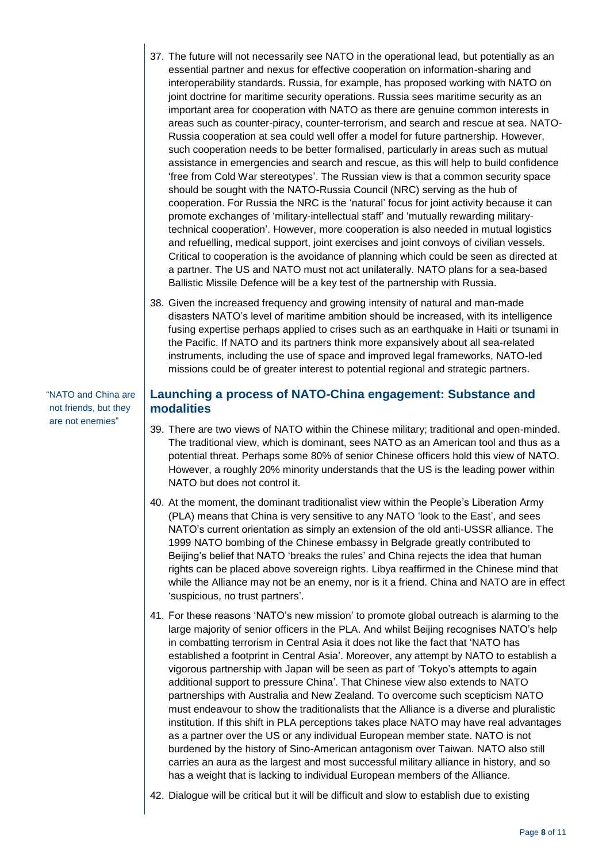- 37. The future will not necessarily see NATO in the operational lead, but potentially as an essential partner and nexus for effective cooperation on information-sharing and interoperability standards. Russia, for example, has proposed working with NATO on joint doctrine for maritime security operations. Russia sees maritime security as an important area for cooperation with NATO as there are genuine common interests in areas such as counter-piracy, counter-terrorism, and search and rescue at sea. NATO-Russia cooperation at sea could well offer a model for future partnership. However, such cooperation needs to be better formalised, particularly in areas such as mutual assistance in emergencies and search and rescue, as this will help to build confidence 'free from Cold War stereotypes'. The Russian view is that a common security space should be sought with the NATO-Russia Council (NRC) serving as the hub of cooperation. For Russia the NRC is the 'natural' focus for joint activity because it can promote exchanges of 'military-intellectual staff' and 'mutually rewarding militarytechnical cooperation'. However, more cooperation is also needed in mutual logistics and refuelling, medical support, joint exercises and joint convoys of civilian vessels. Critical to cooperation is the avoidance of planning which could be seen as directed at a partner. The US and NATO must not act unilaterally. NATO plans for a sea-based Ballistic Missile Defence will be a key test of the partnership with Russia.
- 38. Given the increased frequency and growing intensity of natural and man-made disasters NATO's level of maritime ambition should be increased, with its intelligence fusing expertise perhaps applied to crises such as an earthquake in Haiti or tsunami in the Pacific. If NATO and its partners think more expansively about all sea-related instruments, including the use of space and improved legal frameworks, NATO-led missions could be of greater interest to potential regional and strategic partners.

"NATO and China are not friends, but they are not enemies"

#### **Launching a process of NATO-China engagement: Substance and modalities**

- 39. There are two views of NATO within the Chinese military; traditional and open-minded. The traditional view, which is dominant, sees NATO as an American tool and thus as a potential threat. Perhaps some 80% of senior Chinese officers hold this view of NATO. However, a roughly 20% minority understands that the US is the leading power within NATO but does not control it.
- 40. At the moment, the dominant traditionalist view within the People's Liberation Army (PLA) means that China is very sensitive to any NATO 'look to the East', and sees NATO's current orientation as simply an extension of the old anti-USSR alliance. The 1999 NATO bombing of the Chinese embassy in Belgrade greatly contributed to Beijing's belief that NATO 'breaks the rules' and China rejects the idea that human rights can be placed above sovereign rights. Libya reaffirmed in the Chinese mind that while the Alliance may not be an enemy, nor is it a friend. China and NATO are in effect 'suspicious, no trust partners'.
- 41. For these reasons 'NATO's new mission' to promote global outreach is alarming to the large majority of senior officers in the PLA. And whilst Beijing recognises NATO's help in combatting terrorism in Central Asia it does not like the fact that 'NATO has established a footprint in Central Asia'. Moreover, any attempt by NATO to establish a vigorous partnership with Japan will be seen as part of 'Tokyo's attempts to again additional support to pressure China'. That Chinese view also extends to NATO partnerships with Australia and New Zealand. To overcome such scepticism NATO must endeavour to show the traditionalists that the Alliance is a diverse and pluralistic institution. If this shift in PLA perceptions takes place NATO may have real advantages as a partner over the US or any individual European member state. NATO is not burdened by the history of Sino-American antagonism over Taiwan. NATO also still carries an aura as the largest and most successful military alliance in history, and so has a weight that is lacking to individual European members of the Alliance.
- 42. Dialogue will be critical but it will be difficult and slow to establish due to existing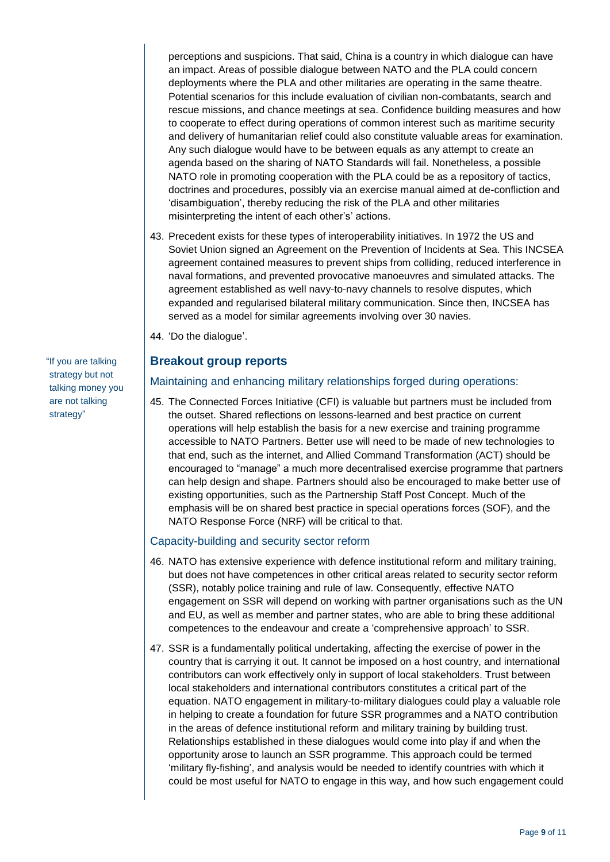perceptions and suspicions. That said, China is a country in which dialogue can have an impact. Areas of possible dialogue between NATO and the PLA could concern deployments where the PLA and other militaries are operating in the same theatre. Potential scenarios for this include evaluation of civilian non-combatants, search and rescue missions, and chance meetings at sea. Confidence building measures and how to cooperate to effect during operations of common interest such as maritime security and delivery of humanitarian relief could also constitute valuable areas for examination. Any such dialogue would have to be between equals as any attempt to create an agenda based on the sharing of NATO Standards will fail. Nonetheless, a possible NATO role in promoting cooperation with the PLA could be as a repository of tactics, doctrines and procedures, possibly via an exercise manual aimed at de-confliction and 'disambiguation', thereby reducing the risk of the PLA and other militaries misinterpreting the intent of each other's' actions.

- 43. Precedent exists for these types of interoperability initiatives. In 1972 the US and Soviet Union signed an Agreement on the Prevention of Incidents at Sea. This INCSEA agreement contained measures to prevent ships from colliding, reduced interference in naval formations, and prevented provocative manoeuvres and simulated attacks. The agreement established as well navy-to-navy channels to resolve disputes, which expanded and regularised bilateral military communication. Since then, INCSEA has served as a model for similar agreements involving over 30 navies.
- 44. 'Do the dialogue'.

#### **Breakout group reports**

#### Maintaining and enhancing military relationships forged during operations:

45. The Connected Forces Initiative (CFI) is valuable but partners must be included from the outset. Shared reflections on lessons-learned and best practice on current operations will help establish the basis for a new exercise and training programme accessible to NATO Partners. Better use will need to be made of new technologies to that end, such as the internet, and Allied Command Transformation (ACT) should be encouraged to "manage" a much more decentralised exercise programme that partners can help design and shape. Partners should also be encouraged to make better use of existing opportunities, such as the Partnership Staff Post Concept. Much of the emphasis will be on shared best practice in special operations forces (SOF), and the NATO Response Force (NRF) will be critical to that.

#### Capacity-building and security sector reform

- 46. NATO has extensive experience with defence institutional reform and military training, but does not have competences in other critical areas related to security sector reform (SSR), notably police training and rule of law. Consequently, effective NATO engagement on SSR will depend on working with partner organisations such as the UN and EU, as well as member and partner states, who are able to bring these additional competences to the endeavour and create a 'comprehensive approach' to SSR.
- 47. SSR is a fundamentally political undertaking, affecting the exercise of power in the country that is carrying it out. It cannot be imposed on a host country, and international contributors can work effectively only in support of local stakeholders. Trust between local stakeholders and international contributors constitutes a critical part of the equation. NATO engagement in military-to-military dialogues could play a valuable role in helping to create a foundation for future SSR programmes and a NATO contribution in the areas of defence institutional reform and military training by building trust. Relationships established in these dialogues would come into play if and when the opportunity arose to launch an SSR programme. This approach could be termed 'military fly-fishing', and analysis would be needed to identify countries with which it could be most useful for NATO to engage in this way, and how such engagement could

"If you are talking strategy but not talking money you are not talking strategy"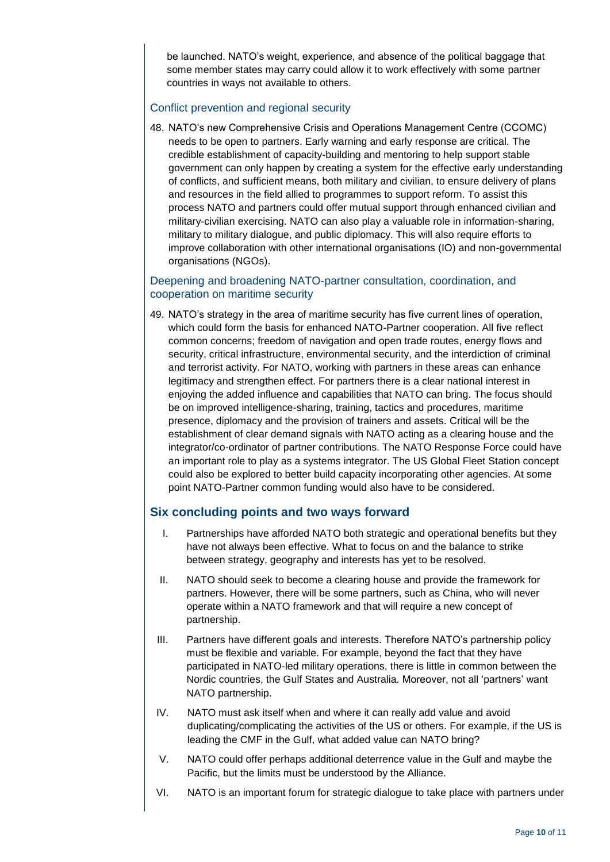be launched. NATO's weight, experience, and absence of the political baggage that some member states may carry could allow it to work effectively with some partner countries in ways not available to others.

#### Conflict prevention and regional security

48. NATO's new Comprehensive Crisis and Operations Management Centre (CCOMC) needs to be open to partners. Early warning and early response are critical. The credible establishment of capacity-building and mentoring to help support stable government can only happen by creating a system for the effective early understanding of conflicts, and sufficient means, both military and civilian, to ensure delivery of plans and resources in the field allied to programmes to support reform. To assist this process NATO and partners could offer mutual support through enhanced civilian and military-civilian exercising. NATO can also play a valuable role in information-sharing, military to military dialogue, and public diplomacy. This will also require efforts to improve collaboration with other international organisations (IO) and non-governmental organisations (NGOs).

#### Deepening and broadening NATO-partner consultation, coordination, and cooperation on maritime security

49. NATO's strategy in the area of maritime security has five current lines of operation, which could form the basis for enhanced NATO-Partner cooperation. All five reflect common concerns; freedom of navigation and open trade routes, energy flows and security, critical infrastructure, environmental security, and the interdiction of criminal and terrorist activity. For NATO, working with partners in these areas can enhance legitimacy and strengthen effect. For partners there is a clear national interest in enjoying the added influence and capabilities that NATO can bring. The focus should be on improved intelligence-sharing, training, tactics and procedures, maritime presence, diplomacy and the provision of trainers and assets. Critical will be the establishment of clear demand signals with NATO acting as a clearing house and the integrator/co-ordinator of partner contributions. The NATO Response Force could have an important role to play as a systems integrator. The US Global Fleet Station concept could also be explored to better build capacity incorporating other agencies. At some point NATO-Partner common funding would also have to be considered.

### **Six concluding points and two ways forward**

- I. Partnerships have afforded NATO both strategic and operational benefits but they have not always been effective. What to focus on and the balance to strike between strategy, geography and interests has yet to be resolved.
- II. NATO should seek to become a clearing house and provide the framework for partners. However, there will be some partners, such as China, who will never operate within a NATO framework and that will require a new concept of partnership.
- III. Partners have different goals and interests. Therefore NATO's partnership policy must be flexible and variable. For example, beyond the fact that they have participated in NATO-led military operations, there is little in common between the Nordic countries, the Gulf States and Australia. Moreover, not all 'partners' want NATO partnership.
- IV. NATO must ask itself when and where it can really add value and avoid duplicating/complicating the activities of the US or others. For example, if the US is leading the CMF in the Gulf, what added value can NATO bring?
- V. NATO could offer perhaps additional deterrence value in the Gulf and maybe the Pacific, but the limits must be understood by the Alliance.
- VI. NATO is an important forum for strategic dialogue to take place with partners under